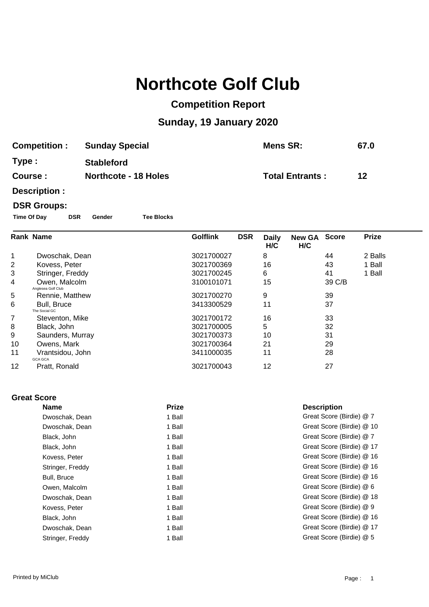# **Northcote Golf Club**

### **Competition Report**

## **Sunday, 19 January 2020**

| <b>Competition:</b> | <b>Sunday Special</b>       | Mens SR:               | 67.0 |
|---------------------|-----------------------------|------------------------|------|
| Type :              | <b>Stableford</b>           |                        |      |
| <b>Course :</b>     | <b>Northcote - 18 Holes</b> | <b>Total Entrants:</b> | 12   |

**Description :**

#### **DSR Groups:**

**Time Of Day DSR Gender Tee Blocks**

|    | <b>Rank Name</b>                    | <b>Golflink</b> | <b>DSR</b><br><b>Daily</b><br>H/C | New GA Score<br>H/C |        | <b>Prize</b> |
|----|-------------------------------------|-----------------|-----------------------------------|---------------------|--------|--------------|
| 1  | Dwoschak, Dean                      | 3021700027      | 8                                 |                     | 44     | 2 Balls      |
| 2  | Kovess, Peter                       | 3021700369      | 16                                |                     | 43     | 1 Ball       |
| 3  | Stringer, Freddy                    | 3021700245      | 6                                 |                     | 41     | 1 Ball       |
| 4  | Owen, Malcolm<br>Anglesea Golf Club | 3100101071      | 15                                |                     | 39 C/B |              |
| 5  | Rennie, Matthew                     | 3021700270      | 9                                 |                     | 39     |              |
| 6  | Bull, Bruce<br>The Social GC        | 3413300529      | 11                                |                     | 37     |              |
| 7  | Steventon, Mike                     | 3021700172      | 16                                |                     | 33     |              |
| 8  | Black, John                         | 3021700005      | 5                                 |                     | 32     |              |
| 9  | Saunders, Murray                    | 3021700373      | 10                                |                     | 31     |              |
| 10 | Owens, Mark                         | 3021700364      | 21                                |                     | 29     |              |
| 11 | Vrantsidou, John<br><b>GCA GCA</b>  | 3411000035      | 11                                |                     | 28     |              |
| 12 | Pratt, Ronald                       | 3021700043      | 12                                |                     | 27     |              |

#### **Great Score**

| <b>Name</b>      | <b>Prize</b> | <b>Description</b>       |
|------------------|--------------|--------------------------|
| Dwoschak, Dean   | 1 Ball       | Great Score (Birdie) @ 7 |
| Dwoschak, Dean   | 1 Ball       | Great Score (Birdie) @ 1 |
| Black, John      | 1 Ball       | Great Score (Birdie) @ 7 |
| Black, John      | 1 Ball       | Great Score (Birdie) @ 1 |
| Kovess, Peter    | 1 Ball       | Great Score (Birdie) @ 1 |
| Stringer, Freddy | 1 Ball       | Great Score (Birdie) @ 1 |
| Bull, Bruce      | 1 Ball       | Great Score (Birdie) @ 1 |
| Owen, Malcolm    | 1 Ball       | Great Score (Birdie) @ 6 |
| Dwoschak, Dean   | 1 Ball       | Great Score (Birdie) @ 1 |
| Kovess, Peter    | 1 Ball       | Great Score (Birdie) @ 9 |
| Black, John      | 1 Ball       | Great Score (Birdie) @ 1 |
| Dwoschak, Dean   | 1 Ball       | Great Score (Birdie) @ 1 |
| Stringer, Freddy | 1 Ball       | Great Score (Birdie) @ 5 |

**Description** Great Score (Birdie) @ 7 Great Score (Birdie) @ 10 Great Score (Birdie) @ 7 Great Score (Birdie) @ 17 Great Score (Birdie) @ 16 Great Score (Birdie) @ 16 Great Score (Birdie) @ 16 Great Score (Birdie) @ 6